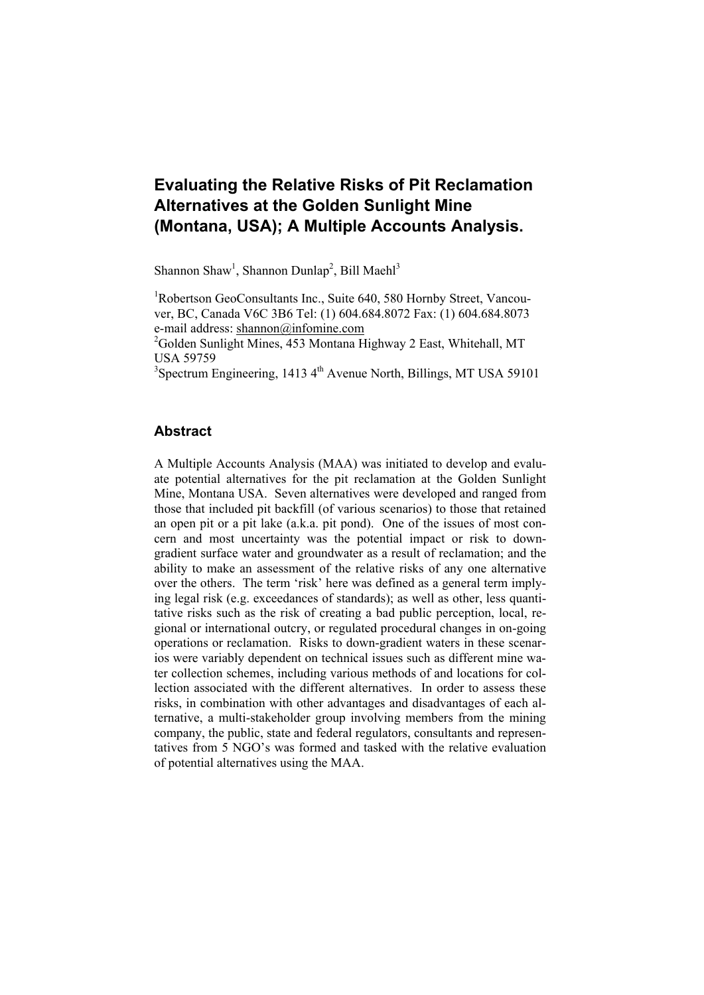# **Evaluating the Relative Risks of Pit Reclamation Alternatives at the Golden Sunlight Mine (Montana, USA); A Multiple Accounts Analysis.**

Shannon Shaw<sup>1</sup>, Shannon Dunlap<sup>2</sup>, Bill Maehl<sup>3</sup>

<sup>1</sup>Robertson GeoConsultants Inc., Suite 640, 580 Hornby Street, Vancouver, BC, Canada V6C 3B6 Tel: (1) 604.684.8072 Fax: (1) 604.684.8073 e-mail address: shannon@infomine.com

<sup>2</sup>Golden Sunlight Mines, 453 Montana Highway 2 East, Whitehall, MT USA 59759

 $3$ Spectrum Engineering, 1413  $4<sup>th</sup>$  Avenue North, Billings, MT USA 59101

### **Abstract**

A Multiple Accounts Analysis (MAA) was initiated to develop and evaluate potential alternatives for the pit reclamation at the Golden Sunlight Mine, Montana USA. Seven alternatives were developed and ranged from those that included pit backfill (of various scenarios) to those that retained an open pit or a pit lake (a.k.a. pit pond). One of the issues of most concern and most uncertainty was the potential impact or risk to downgradient surface water and groundwater as a result of reclamation; and the ability to make an assessment of the relative risks of any one alternative over the others. The term 'risk' here was defined as a general term implying legal risk (e.g. exceedances of standards); as well as other, less quantitative risks such as the risk of creating a bad public perception, local, regional or international outcry, or regulated procedural changes in on-going operations or reclamation. Risks to down-gradient waters in these scenarios were variably dependent on technical issues such as different mine water collection schemes, including various methods of and locations for collection associated with the different alternatives. In order to assess these risks, in combination with other advantages and disadvantages of each alternative, a multi-stakeholder group involving members from the mining company, the public, state and federal regulators, consultants and representatives from 5 NGO's was formed and tasked with the relative evaluation of potential alternatives using the MAA.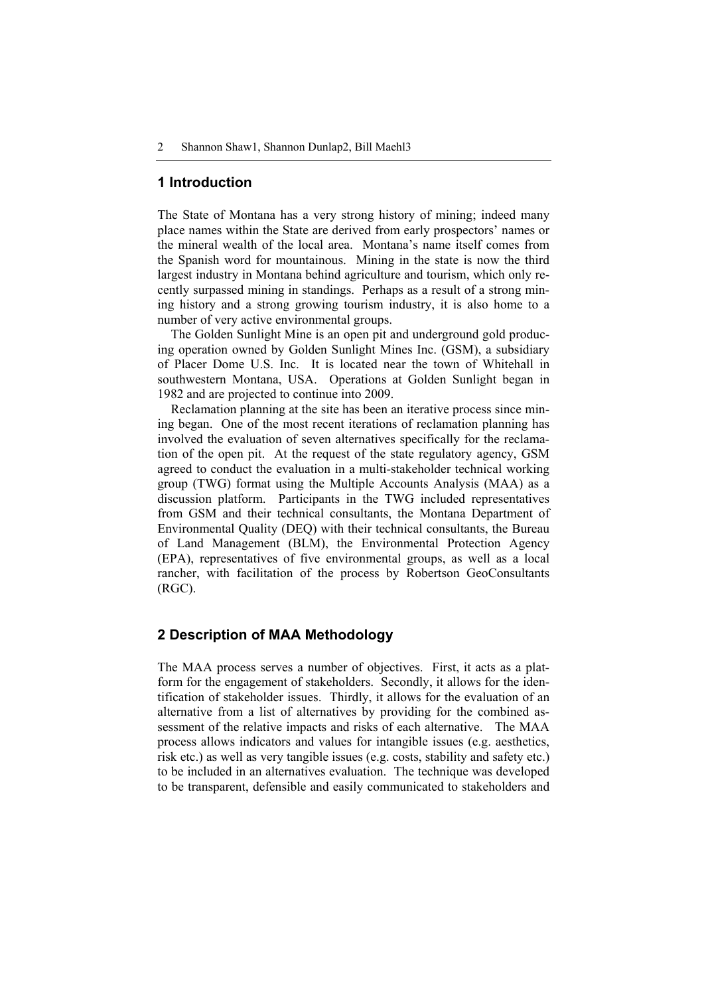### **1 Introduction**

The State of Montana has a very strong history of mining; indeed many place names within the State are derived from early prospectors' names or the mineral wealth of the local area. Montana's name itself comes from the Spanish word for mountainous. Mining in the state is now the third largest industry in Montana behind agriculture and tourism, which only recently surpassed mining in standings. Perhaps as a result of a strong mining history and a strong growing tourism industry, it is also home to a number of very active environmental groups.

The Golden Sunlight Mine is an open pit and underground gold producing operation owned by Golden Sunlight Mines Inc. (GSM), a subsidiary of Placer Dome U.S. Inc. It is located near the town of Whitehall in southwestern Montana, USA. Operations at Golden Sunlight began in 1982 and are projected to continue into 2009.

Reclamation planning at the site has been an iterative process since mining began. One of the most recent iterations of reclamation planning has involved the evaluation of seven alternatives specifically for the reclamation of the open pit. At the request of the state regulatory agency, GSM agreed to conduct the evaluation in a multi-stakeholder technical working group (TWG) format using the Multiple Accounts Analysis (MAA) as a discussion platform. Participants in the TWG included representatives from GSM and their technical consultants, the Montana Department of Environmental Quality (DEQ) with their technical consultants, the Bureau of Land Management (BLM), the Environmental Protection Agency (EPA), representatives of five environmental groups, as well as a local rancher, with facilitation of the process by Robertson GeoConsultants (RGC).

#### **2 Description of MAA Methodology**

The MAA process serves a number of objectives. First, it acts as a platform for the engagement of stakeholders. Secondly, it allows for the identification of stakeholder issues. Thirdly, it allows for the evaluation of an alternative from a list of alternatives by providing for the combined assessment of the relative impacts and risks of each alternative. The MAA process allows indicators and values for intangible issues (e.g. aesthetics, risk etc.) as well as very tangible issues (e.g. costs, stability and safety etc.) to be included in an alternatives evaluation. The technique was developed to be transparent, defensible and easily communicated to stakeholders and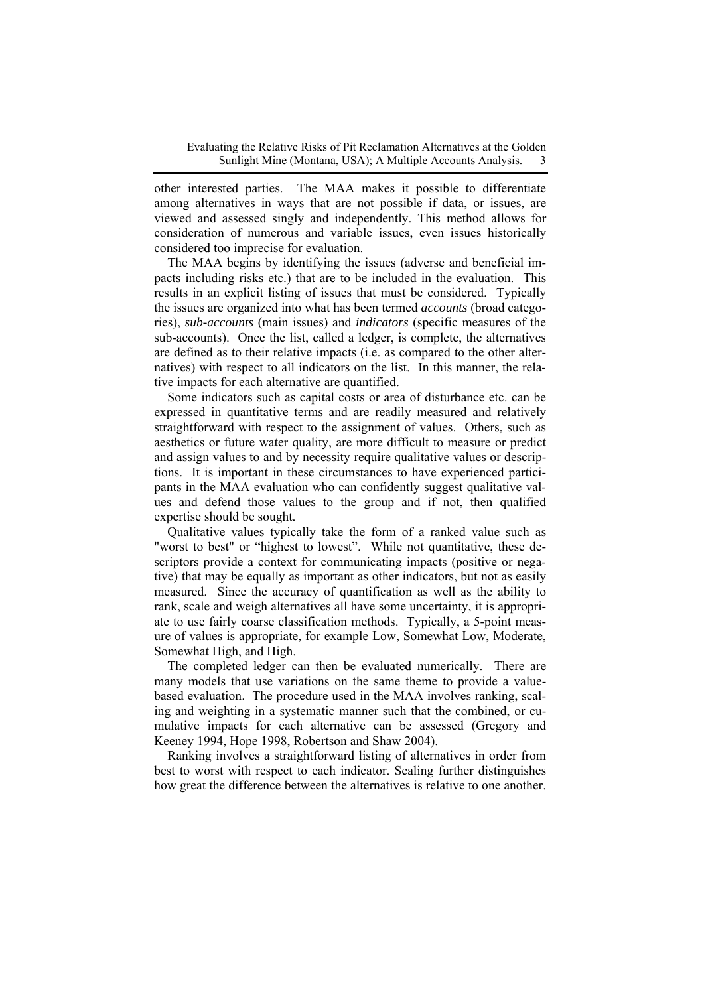other interested parties. The MAA makes it possible to differentiate among alternatives in ways that are not possible if data, or issues, are viewed and assessed singly and independently. This method allows for consideration of numerous and variable issues, even issues historically considered too imprecise for evaluation.

The MAA begins by identifying the issues (adverse and beneficial impacts including risks etc.) that are to be included in the evaluation. This results in an explicit listing of issues that must be considered. Typically the issues are organized into what has been termed *accounts* (broad categories), *sub-accounts* (main issues) and *indicators* (specific measures of the sub-accounts). Once the list, called a ledger, is complete, the alternatives are defined as to their relative impacts (i.e. as compared to the other alternatives) with respect to all indicators on the list. In this manner, the relative impacts for each alternative are quantified.

Some indicators such as capital costs or area of disturbance etc. can be expressed in quantitative terms and are readily measured and relatively straightforward with respect to the assignment of values. Others, such as aesthetics or future water quality, are more difficult to measure or predict and assign values to and by necessity require qualitative values or descriptions. It is important in these circumstances to have experienced participants in the MAA evaluation who can confidently suggest qualitative values and defend those values to the group and if not, then qualified expertise should be sought.

Qualitative values typically take the form of a ranked value such as "worst to best" or "highest to lowest". While not quantitative, these descriptors provide a context for communicating impacts (positive or negative) that may be equally as important as other indicators, but not as easily measured. Since the accuracy of quantification as well as the ability to rank, scale and weigh alternatives all have some uncertainty, it is appropriate to use fairly coarse classification methods. Typically, a 5-point measure of values is appropriate, for example Low, Somewhat Low, Moderate, Somewhat High, and High.

The completed ledger can then be evaluated numerically. There are many models that use variations on the same theme to provide a valuebased evaluation. The procedure used in the MAA involves ranking, scaling and weighting in a systematic manner such that the combined, or cumulative impacts for each alternative can be assessed (Gregory and Keeney 1994, Hope 1998, Robertson and Shaw 2004).

Ranking involves a straightforward listing of alternatives in order from best to worst with respect to each indicator. Scaling further distinguishes how great the difference between the alternatives is relative to one another.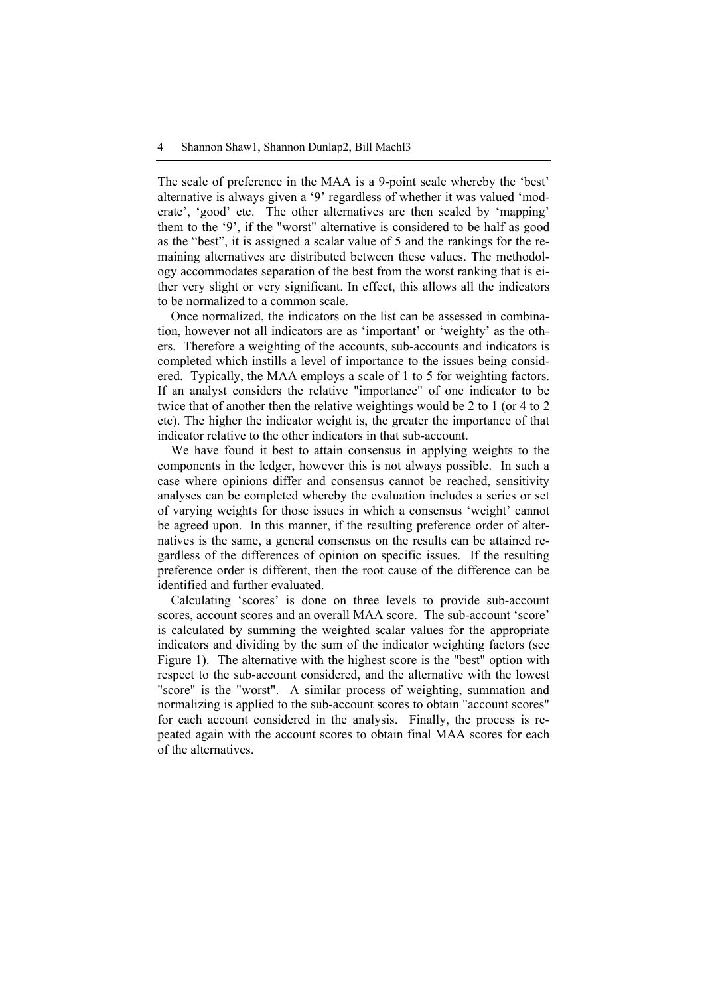The scale of preference in the MAA is a 9-point scale whereby the 'best' alternative is always given a '9' regardless of whether it was valued 'moderate', 'good' etc. The other alternatives are then scaled by 'mapping' them to the '9', if the "worst" alternative is considered to be half as good as the "best", it is assigned a scalar value of 5 and the rankings for the remaining alternatives are distributed between these values. The methodology accommodates separation of the best from the worst ranking that is either very slight or very significant. In effect, this allows all the indicators to be normalized to a common scale.

Once normalized, the indicators on the list can be assessed in combination, however not all indicators are as 'important' or 'weighty' as the others. Therefore a weighting of the accounts, sub-accounts and indicators is completed which instills a level of importance to the issues being considered. Typically, the MAA employs a scale of 1 to 5 for weighting factors. If an analyst considers the relative "importance" of one indicator to be twice that of another then the relative weightings would be 2 to 1 (or 4 to 2 etc). The higher the indicator weight is, the greater the importance of that indicator relative to the other indicators in that sub-account.

We have found it best to attain consensus in applying weights to the components in the ledger, however this is not always possible. In such a case where opinions differ and consensus cannot be reached, sensitivity analyses can be completed whereby the evaluation includes a series or set of varying weights for those issues in which a consensus 'weight' cannot be agreed upon. In this manner, if the resulting preference order of alternatives is the same, a general consensus on the results can be attained regardless of the differences of opinion on specific issues. If the resulting preference order is different, then the root cause of the difference can be identified and further evaluated.

Calculating 'scores' is done on three levels to provide sub-account scores, account scores and an overall MAA score. The sub-account 'score' is calculated by summing the weighted scalar values for the appropriate indicators and dividing by the sum of the indicator weighting factors (see Figure 1). The alternative with the highest score is the "best" option with respect to the sub-account considered, and the alternative with the lowest "score" is the "worst". A similar process of weighting, summation and normalizing is applied to the sub-account scores to obtain "account scores" for each account considered in the analysis. Finally, the process is repeated again with the account scores to obtain final MAA scores for each of the alternatives.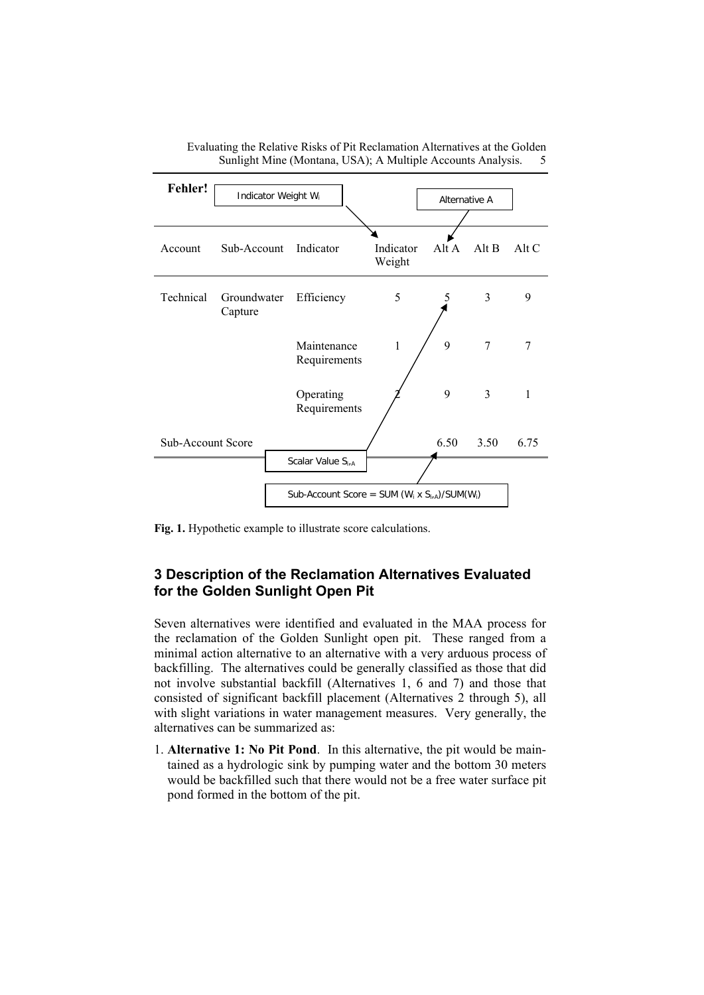

Evaluating the Relative Risks of Pit Reclamation Alternatives at the Golden Sunlight Mine (Montana, USA); A Multiple Accounts Analysis. 5

**Fig. 1.** Hypothetic example to illustrate score calculations.

# **3 Description of the Reclamation Alternatives Evaluated for the Golden Sunlight Open Pit**

Seven alternatives were identified and evaluated in the MAA process for the reclamation of the Golden Sunlight open pit. These ranged from a minimal action alternative to an alternative with a very arduous process of backfilling. The alternatives could be generally classified as those that did not involve substantial backfill (Alternatives 1, 6 and 7) and those that consisted of significant backfill placement (Alternatives 2 through 5), all with slight variations in water management measures. Very generally, the alternatives can be summarized as:

1. **Alternative 1: No Pit Pond**. In this alternative, the pit would be maintained as a hydrologic sink by pumping water and the bottom 30 meters would be backfilled such that there would not be a free water surface pit pond formed in the bottom of the pit.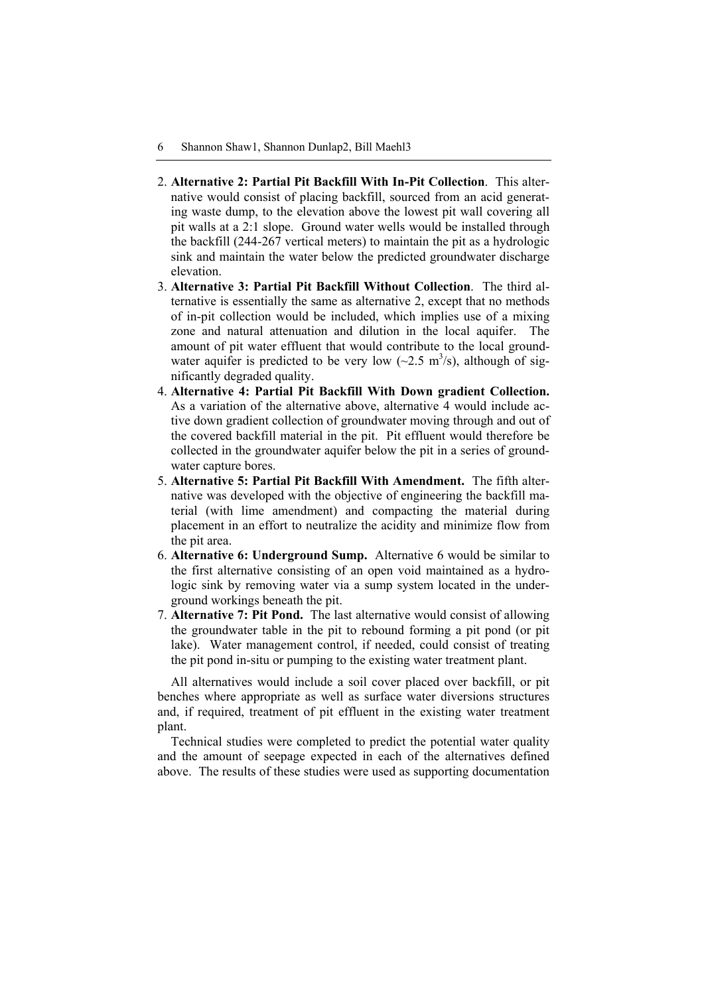- 2. **Alternative 2: Partial Pit Backfill With In-Pit Collection**. This alternative would consist of placing backfill, sourced from an acid generating waste dump, to the elevation above the lowest pit wall covering all pit walls at a 2:1 slope. Ground water wells would be installed through the backfill (244-267 vertical meters) to maintain the pit as a hydrologic sink and maintain the water below the predicted groundwater discharge elevation.
- 3. **Alternative 3: Partial Pit Backfill Without Collection**. The third alternative is essentially the same as alternative 2, except that no methods of in-pit collection would be included, which implies use of a mixing zone and natural attenuation and dilution in the local aquifer. The amount of pit water effluent that would contribute to the local groundwater aquifer is predicted to be very low  $(-2.5 \text{ m}^3/\text{s})$ , although of significantly degraded quality.
- 4. **Alternative 4: Partial Pit Backfill With Down gradient Collection.** As a variation of the alternative above, alternative 4 would include active down gradient collection of groundwater moving through and out of the covered backfill material in the pit. Pit effluent would therefore be collected in the groundwater aquifer below the pit in a series of groundwater capture bores.
- 5. **Alternative 5: Partial Pit Backfill With Amendment.** The fifth alternative was developed with the objective of engineering the backfill material (with lime amendment) and compacting the material during placement in an effort to neutralize the acidity and minimize flow from the pit area.
- 6. **Alternative 6: Underground Sump.** Alternative 6 would be similar to the first alternative consisting of an open void maintained as a hydrologic sink by removing water via a sump system located in the underground workings beneath the pit.
- 7. **Alternative 7: Pit Pond.** The last alternative would consist of allowing the groundwater table in the pit to rebound forming a pit pond (or pit lake). Water management control, if needed, could consist of treating the pit pond in-situ or pumping to the existing water treatment plant.

All alternatives would include a soil cover placed over backfill, or pit benches where appropriate as well as surface water diversions structures and, if required, treatment of pit effluent in the existing water treatment plant.

Technical studies were completed to predict the potential water quality and the amount of seepage expected in each of the alternatives defined above. The results of these studies were used as supporting documentation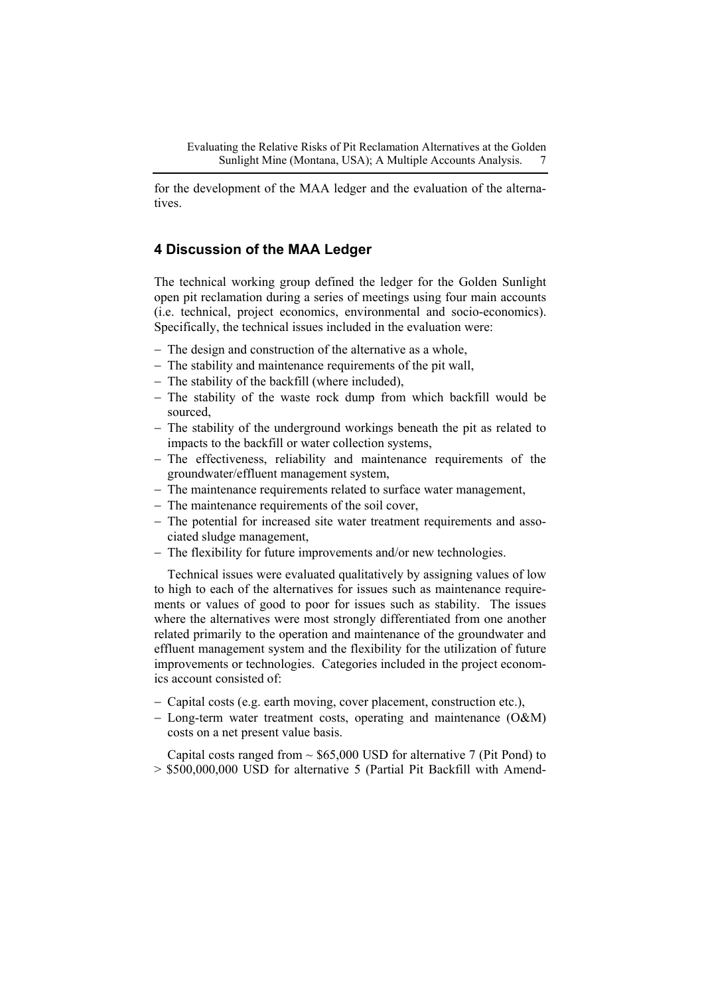for the development of the MAA ledger and the evaluation of the alternatives.

# **4 Discussion of the MAA Ledger**

The technical working group defined the ledger for the Golden Sunlight open pit reclamation during a series of meetings using four main accounts (i.e. technical, project economics, environmental and socio-economics). Specifically, the technical issues included in the evaluation were:

- − The design and construction of the alternative as a whole,
- − The stability and maintenance requirements of the pit wall,
- − The stability of the backfill (where included),
- − The stability of the waste rock dump from which backfill would be sourced,
- − The stability of the underground workings beneath the pit as related to impacts to the backfill or water collection systems,
- − The effectiveness, reliability and maintenance requirements of the groundwater/effluent management system,
- − The maintenance requirements related to surface water management,
- − The maintenance requirements of the soil cover,
- − The potential for increased site water treatment requirements and associated sludge management,
- − The flexibility for future improvements and/or new technologies.

Technical issues were evaluated qualitatively by assigning values of low to high to each of the alternatives for issues such as maintenance requirements or values of good to poor for issues such as stability. The issues where the alternatives were most strongly differentiated from one another related primarily to the operation and maintenance of the groundwater and effluent management system and the flexibility for the utilization of future improvements or technologies. Categories included in the project economics account consisted of:

- − Capital costs (e.g. earth moving, cover placement, construction etc.),
- − Long-term water treatment costs, operating and maintenance (O&M) costs on a net present value basis.

Capital costs ranged from  $\sim$  \$65,000 USD for alternative 7 (Pit Pond) to > \$500,000,000 USD for alternative 5 (Partial Pit Backfill with Amend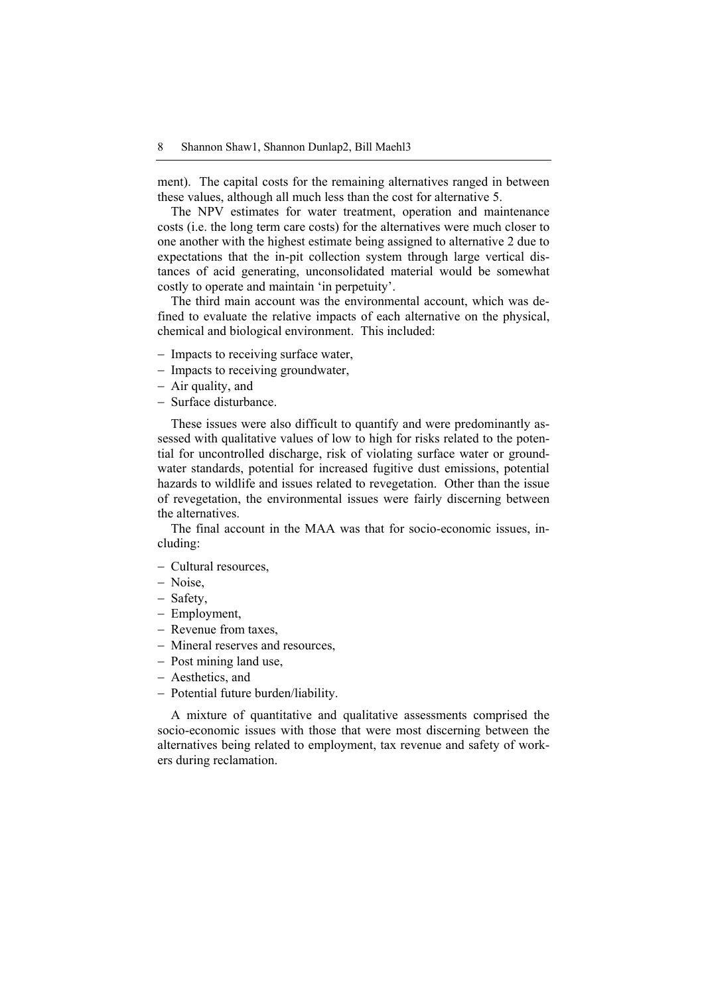ment). The capital costs for the remaining alternatives ranged in between these values, although all much less than the cost for alternative 5.

The NPV estimates for water treatment, operation and maintenance costs (i.e. the long term care costs) for the alternatives were much closer to one another with the highest estimate being assigned to alternative 2 due to expectations that the in-pit collection system through large vertical distances of acid generating, unconsolidated material would be somewhat costly to operate and maintain 'in perpetuity'.

The third main account was the environmental account, which was defined to evaluate the relative impacts of each alternative on the physical, chemical and biological environment. This included:

- − Impacts to receiving surface water,
- − Impacts to receiving groundwater,
- − Air quality, and
- − Surface disturbance.

These issues were also difficult to quantify and were predominantly assessed with qualitative values of low to high for risks related to the potential for uncontrolled discharge, risk of violating surface water or groundwater standards, potential for increased fugitive dust emissions, potential hazards to wildlife and issues related to revegetation. Other than the issue of revegetation, the environmental issues were fairly discerning between the alternatives.

The final account in the MAA was that for socio-economic issues, including:

- − Cultural resources,
- − Noise,
- − Safety,
- − Employment,
- − Revenue from taxes,
- − Mineral reserves and resources,
- − Post mining land use,
- − Aesthetics, and
- − Potential future burden/liability.

A mixture of quantitative and qualitative assessments comprised the socio-economic issues with those that were most discerning between the alternatives being related to employment, tax revenue and safety of workers during reclamation.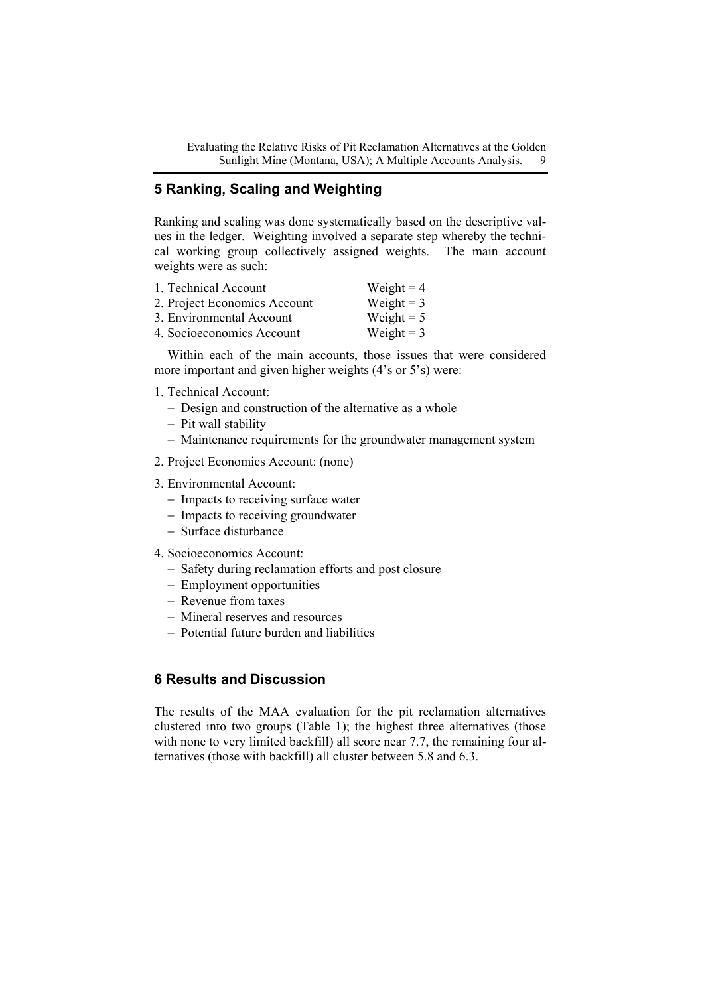Evaluating the Relative Risks of Pit Reclamation Alternatives at the Golden Sunlight Mine (Montana, USA); A Multiple Accounts Analysis. 9

# **5 Ranking, Scaling and Weighting**

Ranking and scaling was done systematically based on the descriptive values in the ledger. Weighting involved a separate step whereby the technical working group collectively assigned weights. The main account weights were as such:

| 1. Technical Account         | Weight = $4$ |
|------------------------------|--------------|
| 2. Project Economics Account | Weight = $3$ |
| 3. Environmental Account     | Weight = $5$ |
| 4. Socioeconomics Account    | Weight = $3$ |

Within each of the main accounts, those issues that were considered more important and given higher weights (4's or 5's) were:

- 1. Technical Account:
	- − Design and construction of the alternative as a whole
	- − Pit wall stability
	- − Maintenance requirements for the groundwater management system
- 2. Project Economics Account: (none)
- 3. Environmental Account:
	- − Impacts to receiving surface water
	- − Impacts to receiving groundwater
	- − Surface disturbance
- 4. Socioeconomics Account:
	- − Safety during reclamation efforts and post closure
	- − Employment opportunities
	- − Revenue from taxes
	- − Mineral reserves and resources
	- − Potential future burden and liabilities

# **6 Results and Discussion**

The results of the MAA evaluation for the pit reclamation alternatives clustered into two groups (Table 1); the highest three alternatives (those with none to very limited backfill) all score near 7.7, the remaining four alternatives (those with backfill) all cluster between 5.8 and 6.3.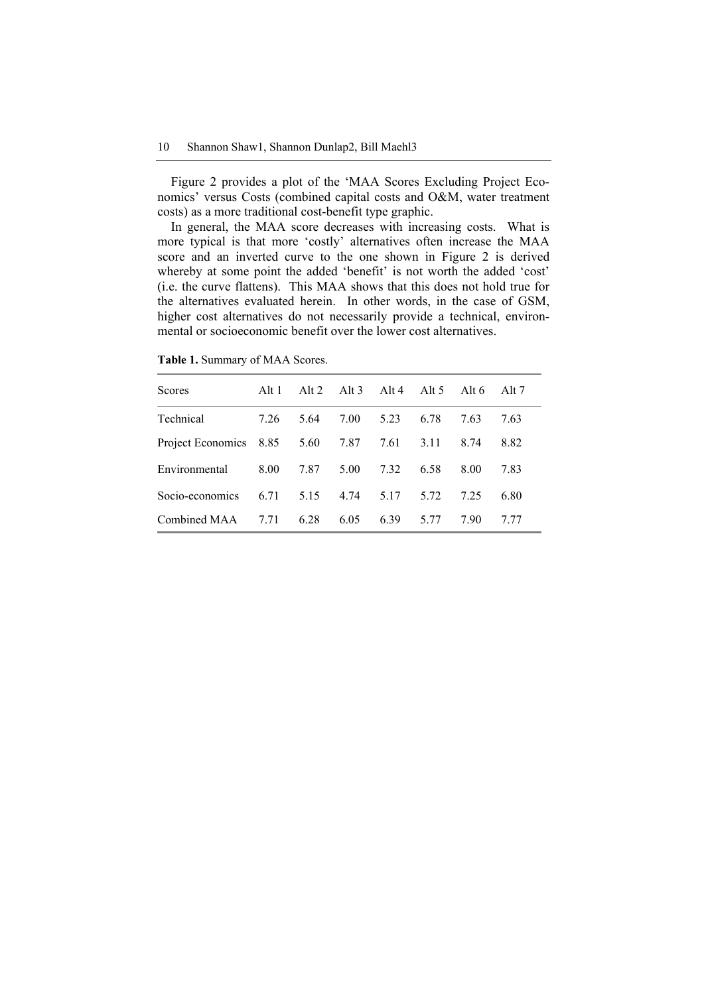Figure 2 provides a plot of the 'MAA Scores Excluding Project Economics' versus Costs (combined capital costs and O&M, water treatment costs) as a more traditional cost-benefit type graphic.

In general, the MAA score decreases with increasing costs. What is more typical is that more 'costly' alternatives often increase the MAA score and an inverted curve to the one shown in Figure 2 is derived whereby at some point the added 'benefit' is not worth the added 'cost' (i.e. the curve flattens). This MAA shows that this does not hold true for the alternatives evaluated herein. In other words, in the case of GSM, higher cost alternatives do not necessarily provide a technical, environmental or socioeconomic benefit over the lower cost alternatives.

| Scores                 | Alt 1 | Alt $2$ | Alt $3$ | Alt 4 | Alt $5$ | Alt 6 | Alt 7 |
|------------------------|-------|---------|---------|-------|---------|-------|-------|
| Technical              | 7.26  | 5.64    | 7.00    | 5.23  | 6.78    | 7.63  | 7.63  |
| Project Economics 8.85 |       | 5.60    | 7.87    | 7.61  | 3.11    | 8.74  | 8.82  |
| Environmental          | 8.00  | 7.87    | 5.00    | 7.32  | 6.58    | 8.00  | 7.83  |
| Socio-economics        | 6.71  | 5.15    | 4.74    | 5.17  | 5.72    | 7.25  | 6.80  |
| Combined MAA           | 7.71  | 6.28    | 6.05    | 6.39  | 5.77    | 790   | 7 77  |

**Table 1.** Summary of MAA Scores.